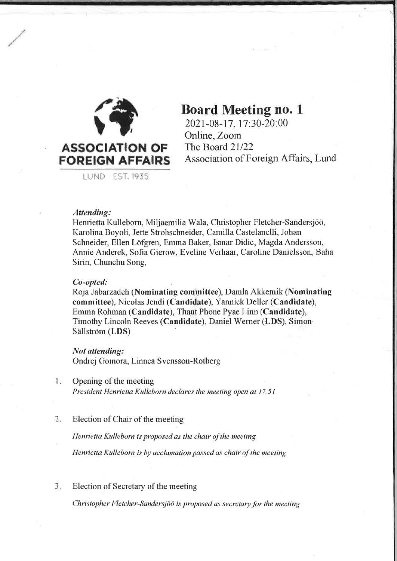

LUND EST. 1935

# **Board Meeting no. 1**

2021-08-17, 17:30-20:00 Online, Zoom The Board 21/22 Association of Foreign Affairs, Lund

# Attending:

Henrietta Kulleborn, Miljaemilia Wala, Christopher Fletcher-Sandersjöö, Karolina Boyoli, Jette Strohschneider, Camilla Castelanelli, Johan Schneider, Ellen Löfgren, Emma Baker, Ismar Didic, Magda Andersson, Annie Anderek, Sofia Gierow, Eveline Verhaar, Caroline Danielsson, Baha Sirin, Chunchu Song,

## Co-opted:

Roja Jabarzadeh (Nominating committee), Damla Akkemik (Nominating committee), Nicolas Jendi (Candidate), Yannick Deller (Candidate), Emma Rohman (Candidate), Thant Phone Pyae Linn (Candidate), Timothy Lincoln Reeves (Candidate), Daniel Werner (LDS), Simon Sällström (LDS)

## Not attending:

Ondrej Gomora, Linnea Svensson-Rotberg

 $\mathbf{I}$ . Opening of the meeting

President Henrietta Kulleborn declares the meeting open at 17.51

 $2.$ Election of Chair of the meeting

Henrietta Kulleborn is proposed as the chair of the meeting

Henrietta Kulleborn is by acclamation passed as chair of the meeting

 $3.$ Election of Secretary of the meeting

Christopher Fletcher-Sandersjöö is proposed as secretary for the meeting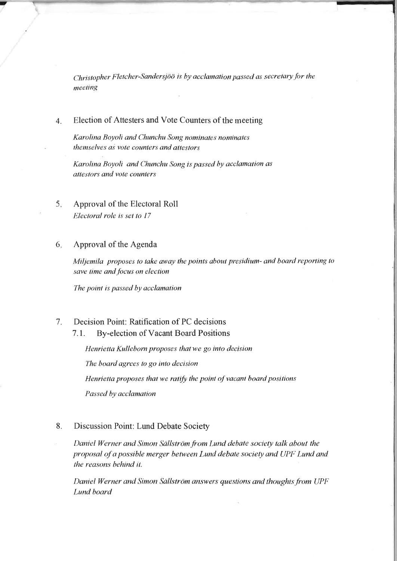Christopher Fletcher-Sandersjöö is by acclamation passed as secretary for the meeting

### Election of Attesters and Vote Counters of the meeting  $\overline{4}$ .

Karolina Boyoli and Chunchu Song nominates nominates themselves as vote counters and attestors

Karolina Boyoli and Chunchu Song is passed by acclamation as attestors and vote counters

### Approval of the Electoral Roll  $5.$ Electoral role is set to 17

#### Approval of the Agenda 6.

Miljemila proposes to take away the points about presidium- and board reporting to save time and focus on election

The point is passed by acclamation

### $7<sub>1</sub>$ Decision Point: Ratification of PC decisions

#### $7.1.$ **By-election of Vacant Board Positions**

Henrietta Kulleborn proposes that we go into decision The board agrees to go into decision Henrietta proposes that we ratify the point of vacant board positions Passed by acclamation

### 8. Discussion Point: Lund Debate Society

Daniel Werner and Simon Sällström from Lund debate society talk about the proposal of a possible merger between Lund debate society and UPF Lund and the reasons behind it.

Daniel Werner and Simon Sällström answers questions and thoughts from UPF Lund board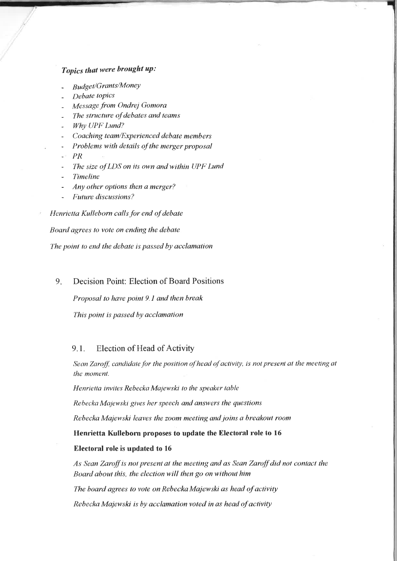# Topics that were brought up:

- Budget/Grants/MoneY
- Debate topics
- Message from Ondrej Gomora
- The structure of debates and teams
- Why UPF Lund?
- Coaching team/Experienced debate members
- Problems with details of the merger proposal
- $-PR$
- The size of LDS on its own and within UPF Lund
- **Timeline**
- Any other options then a merger?
- Future discussions?
- Henrietta Kulleborn calls for end of debate

Board agrees to vote on ending the debate

The point to end the debate is passed by acclamation

#### 9. Decision Point: Election of Board Positions

Proposal to have point 9.1 and then break

This point is passed by acclamation

## 9.1. Election of Head of Activity

Sean Zaroff, candidate for the position of head of activity, is not present at the meeting at the moment.

Henrietta invites Rebecka Majewski to the speaker table

Rebecka Majewski gives her speech and answers the questions

Rebecka Majewski leaves the zoom meeting and joins a breakout room

Henrietta Kulleborn proposes to update the Electoral role to 16

### Electoral role is updated to 16

As Sean Zaroff is not present at the meeting and as Sean Zaroff did not contact the Board about this, the election will then go on without him

The board agrees to vote on Rebecka Majewski as head of activity

Rebecka Majewski is by acclamation voted in as head of activity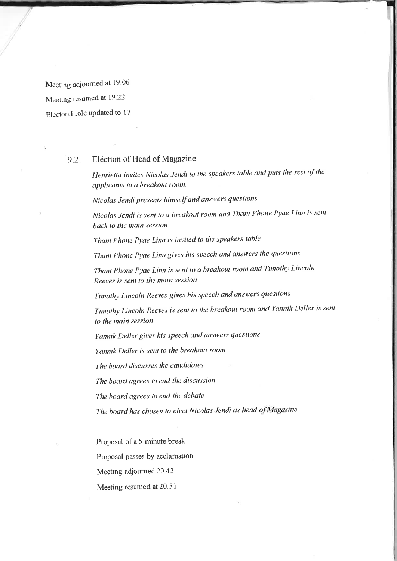Meeting adjourned at 19.06 Meeting resumed at 19.22 Electoral role updated to 17

## 9.2 Election of Head of Magazine

Henrietta invites Nicolas Jendi to the speakers table and puts the rest of the applicants to a breakout room.

Nicolas ,Iendi presents himself and answers questions

Nicolas Jendi is sent to a breakout room and Thant Phone Pyae Linn is sent back to the main session

Thant Phone Pyae Linn is invited to the speakers table

Thant Phone Pyae Linn gives his speech and answers the questions

Thant Phone Pyae Linn is sent to a breakout room and Timothy Lincoln Reeves is sent to the main session

Tinothy Lincoln Reeves gives his speech and answers questions

Timothy Lincoln Reeves is sent to the breakout room and Yannik Deller is sent to the main session

Yannik Deller gives his speech and answers questions

Yannik Deller is senl to the breakout room

'fhe board discusses the candidates

The board agrees to end the discussion

The board agrees to end the debate

The board has chosen to elect Nicolas Jendi as heød of Magasine

Proposal of a S-minute break

Proposal passes by acclamation

Meeting adjourned 20.42

Meeting resumed at 20.51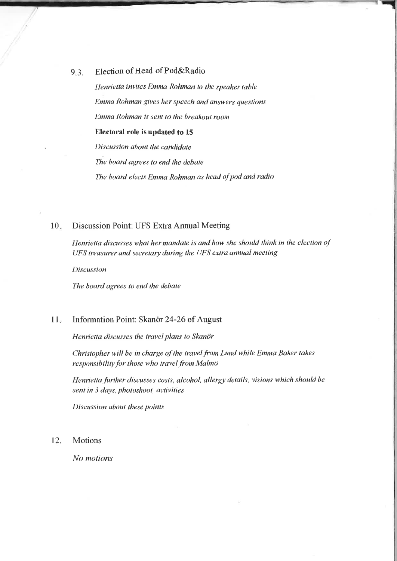9.3. Election of Head of Pod&Radio

Henrietta invites Emma Rohman to the speaker table Emma Rohman gives her speech and answers questions Emma Rohman is sent to the breakout room Electoral role is updated to 15 Discussion about the candidate The board agrees to end the debate The board elects Emma Rohman as head of pod and radio

### Discussion Point: UFS Extra Annual Meeting 10

Henrietta discusses what her mandate is and how she should think in the election of UFS treasurer and secretary during the UFS extra annual meeting

Discussion

The board agrees to end the debate

### Information Point: Skanör 24-26 of August 11

Henrietta discusses the travel plans to Skanör

Christopher will be in charge of the travel from Lund while Emma Baker takes responsibility for those who travel from Malmö

Henrietta further discusses costs, alcohol, allergy details, visions which should be sent in 3 days, photoshoot, activities

Discussion about these points

## 12. Motions

No motions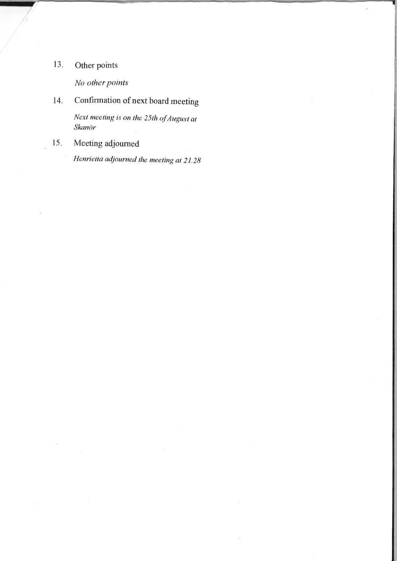# 13. Other points

No other points

14. Confirmation of next board meeting

Next meeting is on the 25th of August at Skanör

15. Meeting adjourned

Henrietta adjourned the meeting at 21.2g